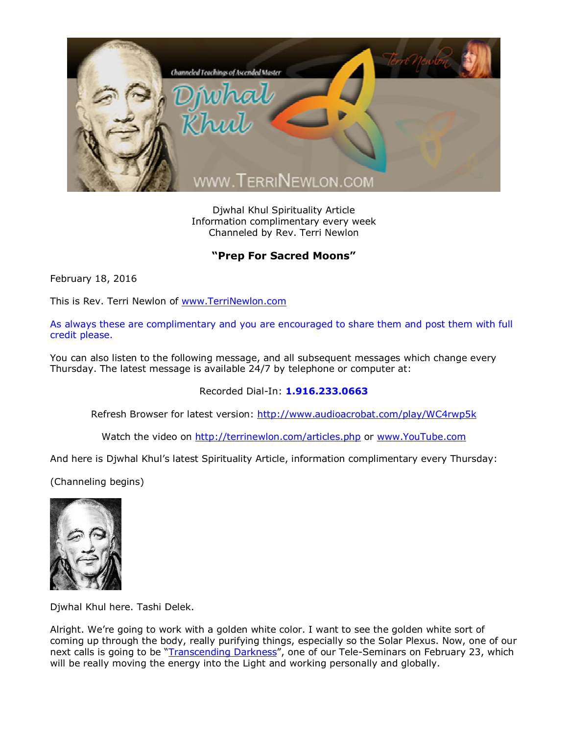

Djwhal Khul Spirituality Article Information complimentary every week Channeled by Rev. Terri Newlon

## **"Prep For Sacred Moons"**

February 18, 2016

This is Rev. Terri Newlon of [www.TerriNewlon.com](http://www.terrinewlon.com/)

As always these are complimentary and you are encouraged to share them and post them with full credit please.

You can also listen to the following message, and all subsequent messages which change every Thursday. The latest message is available 24/7 by telephone or computer at:

Recorded Dial-In: **1.916.233.0663**

Refresh Browser for latest version: <http://www.audioacrobat.com/play/WC4rwp5k>

Watch the video on <http://terrinewlon.com/articles.php> or [www.YouTube.com](http://www.youtube.com/)

And here is Djwhal Khul's latest Spirituality Article, information complimentary every Thursday:

(Channeling begins)



Djwhal Khul here. Tashi Delek.

Alright. We're going to work with a golden white color. I want to see the golden white sort of coming up through the body, really purifying things, especially so the Solar Plexus. Now, one of our next calls is going to be "*[Transcending Darkness](http://www.terrinewlon.com/telecourses.php)"*, one of our Tele-Seminars on February 23, which will be really moving the energy into the Light and working personally and globally.